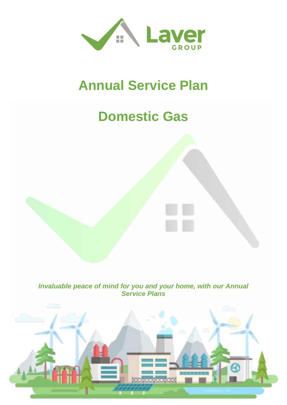

# **Annual Service Plan**

# **Domestic Gas**

*Invaluable peace of mind for you and your home, with our Annual Service Plans*

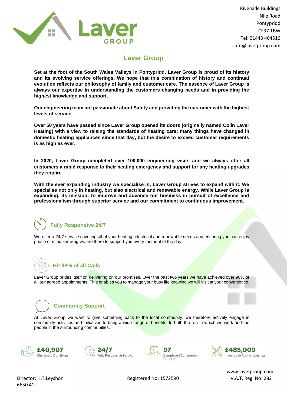

Riverside Buildings Nile Road Pontypridd CF37 1BW Tel: 01443 404516 info@lavergroup.com

# **Laver Group**

**Set at the foot of the South Wales Valleys in Pontypridd, Laver Group is proud of its history and its evolving service offerings. We hope that this combination of history and continual evolution reflects our philosophy of family and customer care. The essence of Laver Group is always our expertise in understanding the customers changing needs and in providing the highest knowledge and support.** 

**Our engineering team are passionate about Safety and providing the customer with the highest levels of service.** 

**Over 50 years have passed since Laver Group opened its doors (originally named Colin Laver Heating) with a view to raising the standards of heating care; many things have changed in domestic heating appliances since that day, but the desire to exceed customer requirements is as high as ever.** 

**In 2020, Laver Group completed over 100,000 engineering visits and we always offer all customers a rapid response to their heating emergency and support for any heating upgrades they require.** 

**With the ever expanding industry we specialise in, Laver Group strives to expand with it. We specialise not only in heating, but also electrical and renewable energy. While Laver Group is expanding, its mission: to improve and advance our business in pursuit of excellence and professionalism through superior service and our commitment to continuous improvement.**

# **Fully Responsive 24/7**

We offer a 24/7 service covering all of your heating, electrical and renewable needs and ensuring you can enjoy peace of mind knowing we are there to support you every moment of the day.



### **Hit 98% of all Calls**

Laver Group prides itself on delivering on our promises. Over the past two years we have achieved over 98% of all our agreed appointments. This enables you to manage your busy life knowing we will visit at your convenience.



### **Community Support**

At Laver Group we want to give something back to the local community, we therefore actively engage in community activities and initiatives to bring a wide range of benefits, to both the rea in which we work and the people in the surrounding communities.









www.lavergroup.com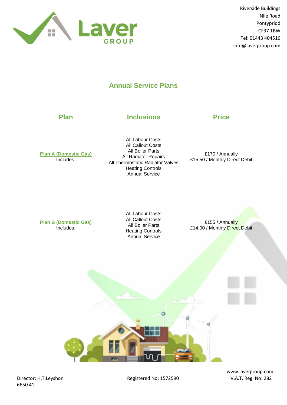

# **Annual Service Plans**

## **Plan Inclusions Price**

**Plan A (Domestic Gas)** Includes:

All Labour Costs All Callout Costs All Boiler Parts All Radiator Repairs All Thermostatic Radiator Valves Heating Controls Annual Service

£170 / Annually £15.50 / Monthly Direct Debit

**Plan B (Domestic Gas)** Includes:

All Labour Costs All Callout Costs All Boiler Parts Heating Controls Annual Service

£155 / Annually £14.00 / Monthly Direct Debit

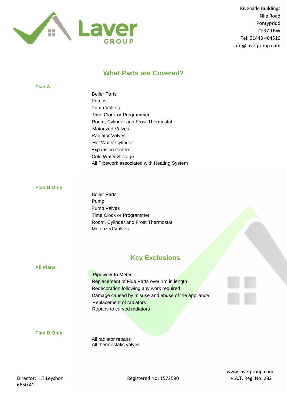

Riverside Buildings Nile Road Pontypridd CF37 1BW Tel: 01443 404516 info@lavergroup.com

# **What Parts are Covered?**

| <b>Plan A</b>      |                                                    |
|--------------------|----------------------------------------------------|
|                    | <b>Boiler Parts</b>                                |
|                    | Pumps                                              |
|                    | <b>Pump Valves</b>                                 |
|                    | Time Clock or Programmer                           |
|                    | Room, Cylinder and Frost Thermostat                |
|                    | Motorized Valves                                   |
|                    | <b>Radiator Valves</b>                             |
|                    |                                                    |
|                    | Hot Water Cylinder                                 |
|                    | <b>Expansion Cistern</b>                           |
|                    | Cold Water Storage                                 |
|                    | All Pipework associated with Heating System        |
|                    |                                                    |
|                    |                                                    |
| <b>Plan B Only</b> |                                                    |
|                    | <b>Boiler Parts</b>                                |
|                    | Pump                                               |
|                    | <b>Pump Valves</b>                                 |
|                    | Time Clock or Programmer                           |
|                    | Room, Cylinder and Frost Thermostat                |
|                    | <b>Motorized Valves</b>                            |
|                    |                                                    |
|                    |                                                    |
|                    |                                                    |
|                    | <b>Key Exclusions</b>                              |
|                    |                                                    |
| <b>All Plans</b>   |                                                    |
|                    | Pipework to Meter                                  |
|                    | Replacement of Flue Parts over 1m in length        |
|                    | Redecoration following any work required           |
|                    | Damage caused by misuse and abuse of the appliance |
|                    | Replacement of radiators                           |
|                    | Repairs to curved radiators                        |
|                    |                                                    |
|                    |                                                    |
| <b>Plan B Only</b> |                                                    |
|                    | All radiator repairs                               |
|                    | All thermostatic valves                            |
|                    |                                                    |
|                    |                                                    |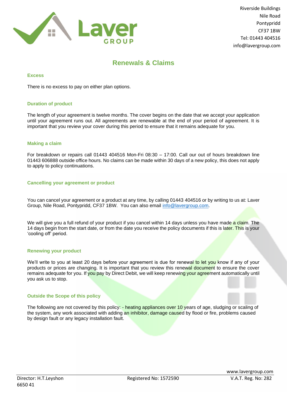

## **Renewals & Claims**

#### **Excess**

There is no excess to pay on either plan options.

#### **Duration of product**

The length of your agreement is twelve months. The cover begins on the date that we accept your application until your agreement runs out. All agreements are renewable at the end of your period of agreement. It is important that you review your cover during this period to ensure that it remains adequate for you.

#### **Making a claim**

For breakdown or repairs call 01443 404516 Mon-Fri 08:30 – 17:00. Call our out of hours breakdown line 01443 606888 outside office hours. No claims can be made within 30 days of a new policy, this does not apply to apply to policy continuations.

#### **Cancelling your agreement or product**

You can cancel your agreement or a product at any time, by calling 01443 404516 or by writing to us at: Laver Group, Nile Road, Pontypridd, CF37 1BW. You can also email [info@lavergroup.com.](mailto:info@lavergroup.com)

We will give you a full refund of your product if you cancel within 14 days unless you have made a claim. The 14 days begin from the start date, or from the date you receive the policy documents if this is later. This is your 'cooling off' period.

#### **Renewing your product**

We'll write to you at least 20 days before your agreement is due for renewal to let you know if any of your products or prices are changing. It is important that you review this renewal document to ensure the cover remains adequate for you. If you pay by Direct Debit, we will keep renewing your agreement automatically until you ask us to stop.

#### **Outside the Scope of this policy**

The following are not covered by this policy: - heating appliances over 10 years of age, sludging or scaling of the system, any work associated with adding an inhibitor, damage caused by flood or fire, problems caused by design fault or any legacy installation fault.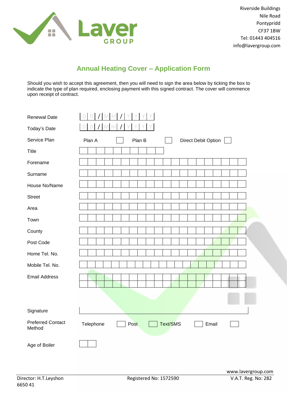

# **Annual Heating Cover – Application Form**

Should you wish to accept this agreement, then you will need to sign the area below by ticking the box to indicate the type of plan required, enclosing payment with this signed contract. The cover will commence upon receipt of contract.

| <b>Renewal Date</b>                |                                         |
|------------------------------------|-----------------------------------------|
| Today's Date                       |                                         |
| Service Plan                       | Plan A<br>Direct Debit Option<br>Plan B |
| Title                              |                                         |
| Forename                           |                                         |
| Surname                            |                                         |
| House No/Name                      |                                         |
| <b>Street</b>                      |                                         |
| Area                               |                                         |
| Town                               |                                         |
| County                             |                                         |
| Post Code                          |                                         |
| Home Tel. No.                      |                                         |
| Mobile Tel. No.                    |                                         |
| <b>Email Address</b>               |                                         |
|                                    |                                         |
| Signature                          |                                         |
| <b>Preferred Contact</b><br>Method | Text/SMS<br>Email<br>Telephone<br>Post  |
| Age of Boiler                      |                                         |
|                                    |                                         |
|                                    | www.lavergrou                           |